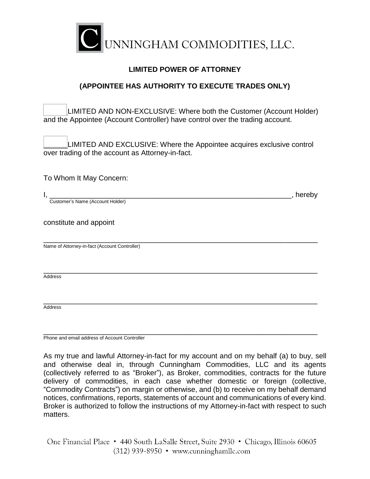

### **LIMITED POWER OF ATTORNEY**

# **(APPOINTEE HAS AUTHORITY TO EXECUTE TRADES ONLY)**

LIMITED AND NON-EXCLUSIVE: Where both the Customer (Account Holder) and the Appointee (Account Controller) have control over the trading account.

LIMITED AND EXCLUSIVE: Where the Appointee acquires exclusive control over trading of the account as Attorney-in-fact.

To Whom It May Concern:

| ડેustomer's Name.<br>. Holder'<br><i><b>LACCOUNT</b></i> |  |
|----------------------------------------------------------|--|

constitute and appoint

\_\_\_\_\_\_\_\_\_\_\_\_\_\_\_\_\_\_\_\_\_\_\_\_\_\_\_\_\_\_\_\_\_\_\_\_\_\_\_\_\_\_\_\_\_\_\_\_\_\_\_\_\_\_\_\_\_\_\_\_\_\_\_\_\_\_\_\_ Name of Attorney-in-fact (Account Controller)

\_\_\_\_\_\_\_\_\_\_\_\_\_\_\_\_\_\_\_\_\_\_\_\_\_\_\_\_\_\_\_\_\_\_\_\_\_\_\_\_\_\_\_\_\_\_\_\_\_\_\_\_\_\_\_\_\_\_\_\_\_\_\_\_\_\_\_\_ Address

\_\_\_\_\_\_\_\_\_\_\_\_\_\_\_\_\_\_\_\_\_\_\_\_\_\_\_\_\_\_\_\_\_\_\_\_\_\_\_\_\_\_\_\_\_\_\_\_\_\_\_\_\_\_\_\_\_\_\_\_\_\_\_\_\_\_\_\_ Address

\_\_\_\_\_\_\_\_\_\_\_\_\_\_\_\_\_\_\_\_\_\_\_\_\_\_\_\_\_\_\_\_\_\_\_\_\_\_\_\_\_\_\_\_\_\_\_\_\_\_\_\_\_\_\_\_\_\_\_\_\_\_\_\_\_\_\_\_ Phone and email address of Account Controller

As my true and lawful Attorney-in-fact for my account and on my behalf (a) to buy, sell and otherwise deal in, through Cunningham Commodities, LLC and its agents (collectively referred to as "Broker"), as Broker, commodities, contracts for the future delivery of commodities, in each case whether domestic or foreign (collective, "Commodity Contracts") on margin or otherwise, and (b) to receive on my behalf demand notices, confirmations, reports, statements of account and communications of every kind. Broker is authorized to follow the instructions of my Attorney-in-fact with respect to such matters.

One Financial Place • 440 South LaSalle Street, Suite 2930 • Chicago, Illinois 60605  $(312)$  939-8950 • www.cunninghamllc.com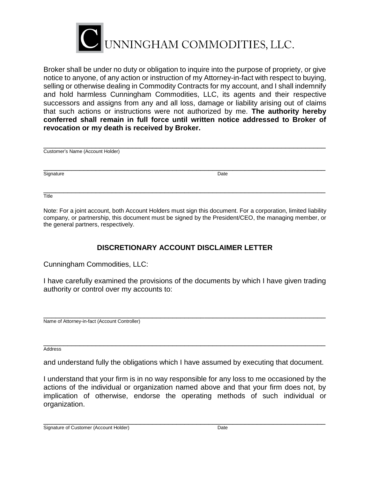

Broker shall be under no duty or obligation to inquire into the purpose of propriety, or give notice to anyone, of any action or instruction of my Attorney-in-fact with respect to buying, selling or otherwise dealing in Commodity Contracts for my account, and I shall indemnify and hold harmless Cunningham Commodities, LLC, its agents and their respective successors and assigns from any and all loss, damage or liability arising out of claims that such actions or instructions were not authorized by me. **The authority hereby conferred shall remain in full force until written notice addressed to Broker of revocation or my death is received by Broker.**

| Customer's Name (Account Holder) |      |  |
|----------------------------------|------|--|
| Signature                        | Date |  |
|                                  |      |  |

Title

Note: For a joint account, both Account Holders must sign this document. For a corporation, limited liability company, or partnership, this document must be signed by the President/CEO, the managing member, or the general partners, respectively.

# **DISCRETIONARY ACCOUNT DISCLAIMER LETTER**

Cunningham Commodities, LLC:

I have carefully examined the provisions of the documents by which I have given trading authority or control over my accounts to:

\_\_\_\_\_\_\_\_\_\_\_\_\_\_\_\_\_\_\_\_\_\_\_\_\_\_\_\_\_\_\_\_\_\_\_\_\_\_\_\_\_\_\_\_\_\_\_\_\_\_\_\_\_\_\_\_\_\_\_\_\_\_\_\_\_\_\_\_\_\_ Name of Attorney-in-fact (Account Controller)

\_\_\_\_\_\_\_\_\_\_\_\_\_\_\_\_\_\_\_\_\_\_\_\_\_\_\_\_\_\_\_\_\_\_\_\_\_\_\_\_\_\_\_\_\_\_\_\_\_\_\_\_\_\_\_\_\_\_\_\_\_\_\_\_\_\_\_\_\_\_ Address

and understand fully the obligations which I have assumed by executing that document.

I understand that your firm is in no way responsible for any loss to me occasioned by the actions of the individual or organization named above and that your firm does not, by implication of otherwise, endorse the operating methods of such individual or organization.

\_\_\_\_\_\_\_\_\_\_\_\_\_\_\_\_\_\_\_\_\_\_\_\_\_\_\_\_\_\_\_\_\_\_\_\_\_\_\_\_\_\_\_\_\_\_\_\_\_\_\_\_\_\_\_\_\_\_\_\_\_\_\_\_\_\_\_\_\_\_